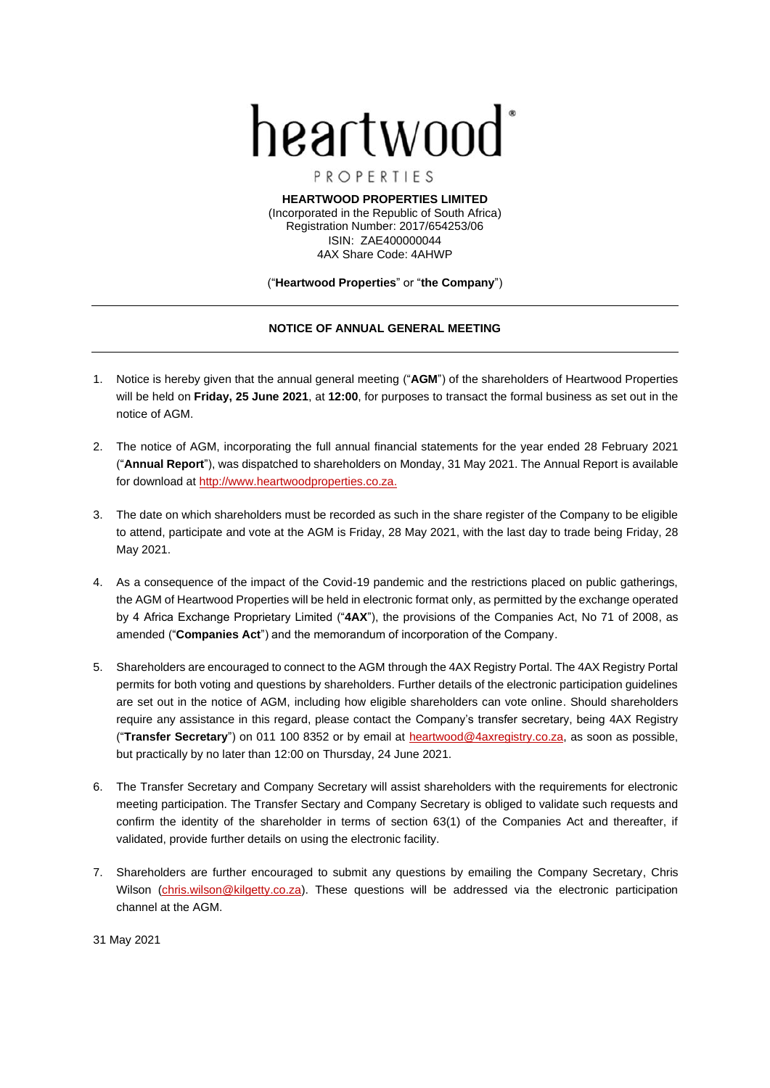

PROPERTIES

**HEARTWOOD PROPERTIES LIMITED** (Incorporated in the Republic of South Africa) Registration Number: 2017/654253/06 ISIN: ZAE400000044 4AX Share Code: 4AHWP

("**Heartwood Properties**" or "**the Company**")

## **NOTICE OF ANNUAL GENERAL MEETING**

- 1. Notice is hereby given that the annual general meeting ("**AGM**") of the shareholders of Heartwood Properties will be held on **Friday, 25 June 2021**, at **12:00**, for purposes to transact the formal business as set out in the notice of AGM.
- 2. The notice of AGM, incorporating the full annual financial statements for the year ended 28 February 2021 ("**Annual Report**"), was dispatched to shareholders on Monday, 31 May 2021. The Annual Report is available for download at [http://www.heartwoodproperties.co.za.](http://www.heartwoodproperties.co.za/)
- 3. The date on which shareholders must be recorded as such in the share register of the Company to be eligible to attend, participate and vote at the AGM is Friday, 28 May 2021, with the last day to trade being Friday, 28 May 2021.
- 4. As a consequence of the impact of the Covid-19 pandemic and the restrictions placed on public gatherings, the AGM of Heartwood Properties will be held in electronic format only, as permitted by the exchange operated by 4 Africa Exchange Proprietary Limited ("**4AX**"), the provisions of the Companies Act, No 71 of 2008, as amended ("**Companies Act**") and the memorandum of incorporation of the Company.
- 5. Shareholders are encouraged to connect to the AGM through the 4AX Registry Portal. The 4AX Registry Portal permits for both voting and questions by shareholders. Further details of the electronic participation guidelines are set out in the notice of AGM, including how eligible shareholders can vote online. Should shareholders require any assistance in this regard, please contact the Company's transfer secretary, being 4AX Registry ("**Transfer Secretary**") on 011 100 8352 or by email at [heartwood@4axregistry.co.za,](mailto:heartwood@4axregistry.co.za) as soon as possible, but practically by no later than 12:00 on Thursday, 24 June 2021.
- 6. The Transfer Secretary and Company Secretary will assist shareholders with the requirements for electronic meeting participation. The Transfer Sectary and Company Secretary is obliged to validate such requests and confirm the identity of the shareholder in terms of section 63(1) of the Companies Act and thereafter, if validated, provide further details on using the electronic facility.
- 7. Shareholders are further encouraged to submit any questions by emailing the Company Secretary, Chris Wilson [\(chris.wilson@kilgetty.co.za\)](mailto:chris.wilson@kilgetty.co.za). These questions will be addressed via the electronic participation channel at the AGM.

31 May 2021